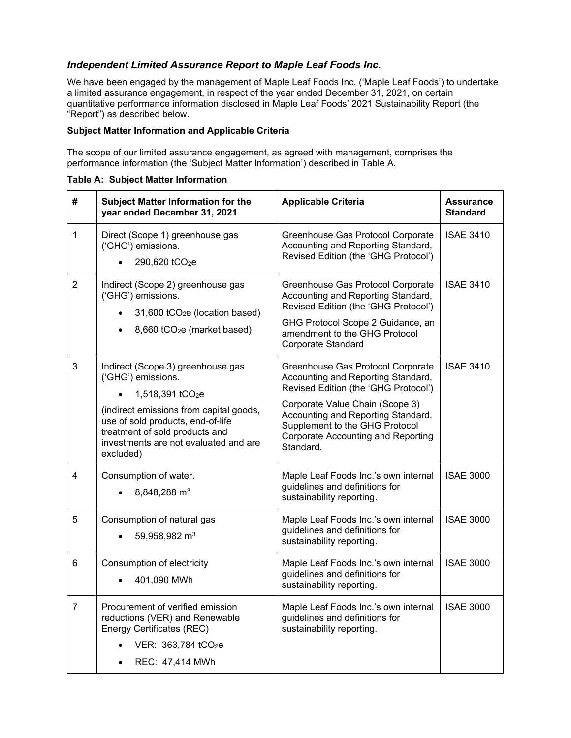# *Independent Limited Assurance Report to Maple Leaf Foods Inc.*

 We have been engaged by the management of Maple Leaf Foods Inc. ('Maple Leaf Foods') to undertake a limited assurance engagement, in respect of the year ended December 31, 2021, on certain quantitative performance information disclosed in Maple Leaf Foods' 2021 Sustainability Report (the "Report") as described below.

# **Subject Matter Information and Applicable Criteria**

 The scope of our limited assurance engagement, as agreed with management, comprises the performance information (the 'Subject Matter Information') described in Table A.

| #              | <b>Subject Matter Information for the</b><br>year ended December 31, 2021                                                                                                                                                                                       | <b>Applicable Criteria</b>                                                                                                                                                                                                                                                           | <b>Assurance</b><br><b>Standard</b> |
|----------------|-----------------------------------------------------------------------------------------------------------------------------------------------------------------------------------------------------------------------------------------------------------------|--------------------------------------------------------------------------------------------------------------------------------------------------------------------------------------------------------------------------------------------------------------------------------------|-------------------------------------|
| 1              | Direct (Scope 1) greenhouse gas<br>('GHG') emissions.<br>290,620 tCO <sub>2</sub> e                                                                                                                                                                             | Greenhouse Gas Protocol Corporate<br>Accounting and Reporting Standard,<br>Revised Edition (the 'GHG Protocol')                                                                                                                                                                      | <b>ISAE 3410</b>                    |
| $\overline{2}$ | Indirect (Scope 2) greenhouse gas<br>('GHG') emissions.<br>31,600 tCO <sub>2</sub> e (location based)<br>8,660 tCO <sub>2</sub> e (market based)                                                                                                                | Greenhouse Gas Protocol Corporate<br>Accounting and Reporting Standard,<br>Revised Edition (the 'GHG Protocol')<br>GHG Protocol Scope 2 Guidance, an<br>amendment to the GHG Protocol<br>Corporate Standard                                                                          | <b>ISAE 3410</b>                    |
| 3              | Indirect (Scope 3) greenhouse gas<br>('GHG') emissions.<br>1,518,391 tCO <sub>2</sub> e<br>(indirect emissions from capital goods,<br>use of sold products, end-of-life<br>treatment of sold products and<br>investments are not evaluated and are<br>excluded) | Greenhouse Gas Protocol Corporate<br>Accounting and Reporting Standard,<br>Revised Edition (the 'GHG Protocol')<br>Corporate Value Chain (Scope 3)<br>Accounting and Reporting Standard.<br>Supplement to the GHG Protocol<br><b>Corporate Accounting and Reporting</b><br>Standard. | <b>ISAE 3410</b>                    |
| 4              | Consumption of water.<br>8,848,288 m <sup>3</sup>                                                                                                                                                                                                               | Maple Leaf Foods Inc.'s own internal<br>guidelines and definitions for<br>sustainability reporting.                                                                                                                                                                                  | <b>ISAE 3000</b>                    |
| 5              | Consumption of natural gas<br>59,958,982 m <sup>3</sup>                                                                                                                                                                                                         | Maple Leaf Foods Inc.'s own internal<br>guidelines and definitions for<br>sustainability reporting.                                                                                                                                                                                  | <b>ISAE 3000</b>                    |
| 6              | Consumption of electricity<br>401,090 MWh                                                                                                                                                                                                                       | Maple Leaf Foods Inc.'s own internal<br>guidelines and definitions for<br>sustainability reporting.                                                                                                                                                                                  | <b>ISAE 3000</b>                    |
| $\overline{7}$ | Procurement of verified emission<br>reductions (VER) and Renewable<br>Energy Certificates (REC)<br>VER: 363,784 tCO <sub>2</sub> e<br>REC: 47,414 MWh                                                                                                           | Maple Leaf Foods Inc.'s own internal<br>guidelines and definitions for<br>sustainability reporting.                                                                                                                                                                                  | <b>ISAE 3000</b>                    |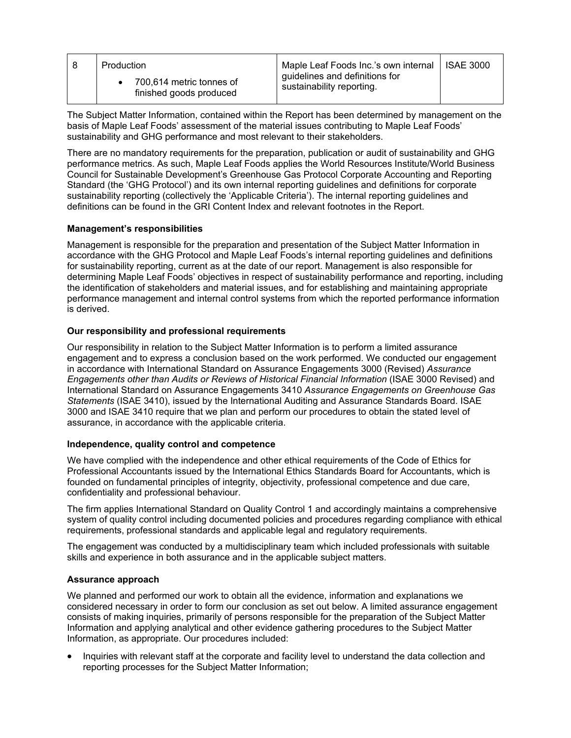| Production                                          | Maple Leaf Foods Inc.'s own internal   ISAE 3000            |  |
|-----------------------------------------------------|-------------------------------------------------------------|--|
| 700,614 metric tonnes of<br>finished goods produced | guidelines and definitions for<br>sustainability reporting. |  |

 The Subject Matter Information, contained within the Report has been determined by management on the basis of Maple Leaf Foods' assessment of the material issues contributing to Maple Leaf Foods' sustainability and GHG performance and most relevant to their stakeholders.

 There are no mandatory requirements for the preparation, publication or audit of sustainability and GHG performance metrics. As such, Maple Leaf Foods applies the World Resources Institute/World Business Council for Sustainable Development's Greenhouse Gas Protocol Corporate Accounting and Reporting Standard (the 'GHG Protocol') and its own internal reporting guidelines and definitions for corporate definitions can be found in the GRI Content Index and relevant footnotes in the Report. sustainability reporting (collectively the 'Applicable Criteria'). The internal reporting guidelines and

### **Management's responsibilities**

 Management is responsible for the preparation and presentation of the Subject Matter Information in accordance with the GHG Protocol and Maple Leaf Foods's internal reporting guidelines and definitions for sustainability reporting, current as at the date of our report. Management is also responsible for determining Maple Leaf Foods' objectives in respect of sustainability performance and reporting, including the identification of stakeholders and material issues, and for establishing and maintaining appropriate performance management and internal control systems from which the reported performance information is derived.

### **Our responsibility and professional requirements**

 Our responsibility in relation to the Subject Matter Information is to perform a limited assurance engagement and to express a conclusion based on the work performed. We conducted our engagement  *Engagements other than Audits or Reviews of Historical Financial Information* (ISAE 3000 Revised) and *Statements* (ISAE 3410), issued by the International Auditing and Assurance Standards Board. ISAE 3000 and ISAE 3410 require that we plan and perform our procedures to obtain the stated level of assurance, in accordance with the applicable criteria. in accordance with International Standard on Assurance Engagements 3000 (Revised) *Assurance*  International Standard on Assurance Engagements 3410 *Assurance Engagements on Greenhouse Gas* 

## **Independence, quality control and competence**

 We have complied with the independence and other ethical requirements of the Code of Ethics for Professional Accountants issued by the International Ethics Standards Board for Accountants, which is founded on fundamental principles of integrity, objectivity, professional competence and due care, confidentiality and professional behaviour.

 The firm applies International Standard on Quality Control 1 and accordingly maintains a comprehensive system of quality control including documented policies and procedures regarding compliance with ethical requirements, professional standards and applicable legal and regulatory requirements.

 The engagement was conducted by a multidisciplinary team which included professionals with suitable skills and experience in both assurance and in the applicable subject matters.

### **Assurance approach**

 We planned and performed our work to obtain all the evidence, information and explanations we considered necessary in order to form our conclusion as set out below. A limited assurance engagement consists of making inquiries, primarily of persons responsible for the preparation of the Subject Matter Information and applying analytical and other evidence gathering procedures to the Subject Matter Information, as appropriate. Our procedures included:

 • Inquiries with relevant staff at the corporate and facility level to understand the data collection and reporting processes for the Subject Matter Information;